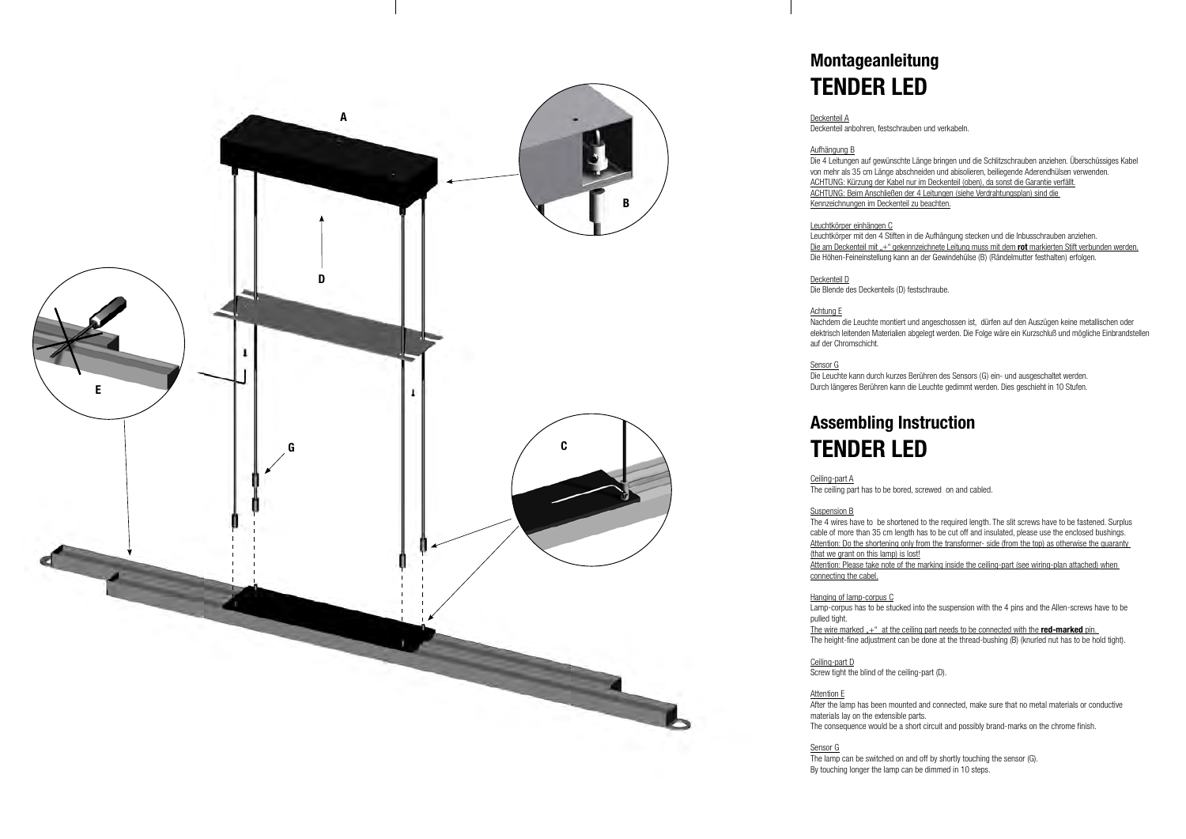# **Montageanleitung TENDER LED**

Deckenteil A Deckenteil anbohren, festschrauben und verkabeln.

Aufhängung B Die 4 Leitungen auf gewünschte Länge bringen und die Schlitzschrauben anziehen. Überschüssiges Kabel von mehr als 35 cm Länge abschneiden und abisolieren, beiliegende Aderendhülsen verwenden. ACHTUNG: Kürzung der Kabel nur im Deckenteil (oben), da sonst die Garantie verfällt. ACHTUNG: Beim Anschließen der 4 Leitungen (siehe Verdrahtungsplan) sind die Kennzeichnungen im Deckenteil zu beachten.

Leuchtkörper einhängen C

Leuchtkörper mit den 4 Stiften in die Aufhängung stecken und die Inbusschrauben anziehen. Die am Deckenteil mit "+" gekennzeichnete Leitung muss mit dem rot markierten Stift verbunden werden. Die Höhen-Feineinstellung kann an der Gewindehülse (B) (Rändelmutter festhalten) erfolgen.

The 4 wires have to be shortened to the required length. The slit screws have to be fastened. Surplus cable of more than 35 cm length has to be cut off and insulated, please use the enclosed bushings. Attention: Do the shortening only from the transformer- side (from the top) as otherwise the guaranty

Deckenteil D Die Blende des Deckenteils (D) festschraube.

Nachdem die Leuchte montiert und angeschossen ist, dürfen auf den Auszügen keine metallischen oder elektrisch leitenden Materialien abgelegt werden. Die Folge wäre ein Kurzschluß und mögliche Einbrandstellen

Achtung E auf der Chromschicht.

The wire marked  $+$ " at the ceiling part needs to be connected with the **red-marked** pin. The height-fine adjustment can be done at the thread-bushing (B) (knurled nut has to be hold tight).

Ceiling-part D Screw tight the blind of the ceiling-part (D).

Sensor G

Die Leuchte kann durch kurzes Berühren des Sensors (G) ein- und ausgeschaltet werden. Durch längeres Berühren kann die Leuchte gedimmt werden. Dies geschieht in 10 Stufen.

## **Assembling Instruction TENDER LED**

Ceiling-part A

The ceiling part has to be bored, screwed on and cabled.

Suspension B (that we grant on this lamp) is lost! connecting the cabel.

Attention: Please take note of the marking inside the ceiling-part (see wiring-plan attached) when

Hanging of lamp-corpus C pulled tight.

Lamp-corpus has to be stucked into the suspension with the 4 pins and the Allen-screws have to be

After the lamp has been mounted and connected, make sure that no metal materials or conductive

Attention E materials lay on the extensible parts.

The consequence would be a short circuit and possibly brand-marks on the chrome finish.

Sensor G

The lamp can be switched on and off by shortly touching the sensor (G). By touching longer the lamp can be dimmed in 10 steps.